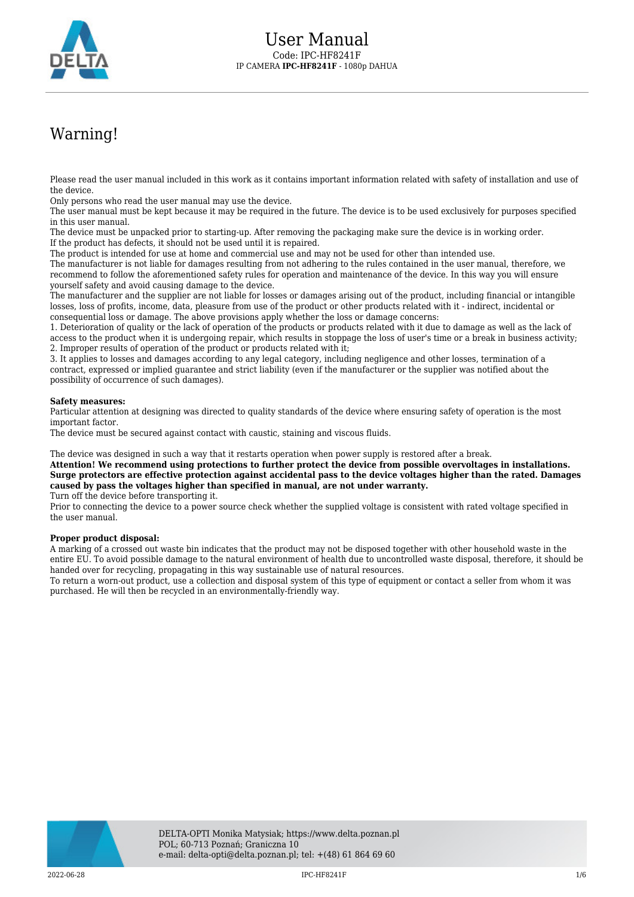

# Warning!

Please read the user manual included in this work as it contains important information related with safety of installation and use of the device.

Only persons who read the user manual may use the device.

The user manual must be kept because it may be required in the future. The device is to be used exclusively for purposes specified in this user manual.

The device must be unpacked prior to starting-up. After removing the packaging make sure the device is in working order. If the product has defects, it should not be used until it is repaired.

The product is intended for use at home and commercial use and may not be used for other than intended use.

The manufacturer is not liable for damages resulting from not adhering to the rules contained in the user manual, therefore, we recommend to follow the aforementioned safety rules for operation and maintenance of the device. In this way you will ensure yourself safety and avoid causing damage to the device.

The manufacturer and the supplier are not liable for losses or damages arising out of the product, including financial or intangible losses, loss of profits, income, data, pleasure from use of the product or other products related with it - indirect, incidental or consequential loss or damage. The above provisions apply whether the loss or damage concerns:

1. Deterioration of quality or the lack of operation of the products or products related with it due to damage as well as the lack of access to the product when it is undergoing repair, which results in stoppage the loss of user's time or a break in business activity; 2. Improper results of operation of the product or products related with it;

3. It applies to losses and damages according to any legal category, including negligence and other losses, termination of a contract, expressed or implied guarantee and strict liability (even if the manufacturer or the supplier was notified about the possibility of occurrence of such damages).

#### **Safety measures:**

Particular attention at designing was directed to quality standards of the device where ensuring safety of operation is the most important factor.

The device must be secured against contact with caustic, staining and viscous fluids.

The device was designed in such a way that it restarts operation when power supply is restored after a break.

**Attention! We recommend using protections to further protect the device from possible overvoltages in installations. Surge protectors are effective protection against accidental pass to the device voltages higher than the rated. Damages caused by pass the voltages higher than specified in manual, are not under warranty.** Turn off the device before transporting it.

Prior to connecting the device to a power source check whether the supplied voltage is consistent with rated voltage specified in the user manual.

#### **Proper product disposal:**

A marking of a crossed out waste bin indicates that the product may not be disposed together with other household waste in the entire EU. To avoid possible damage to the natural environment of health due to uncontrolled waste disposal, therefore, it should be handed over for recycling, propagating in this way sustainable use of natural resources.

To return a worn-out product, use a collection and disposal system of this type of equipment or contact a seller from whom it was purchased. He will then be recycled in an environmentally-friendly way.

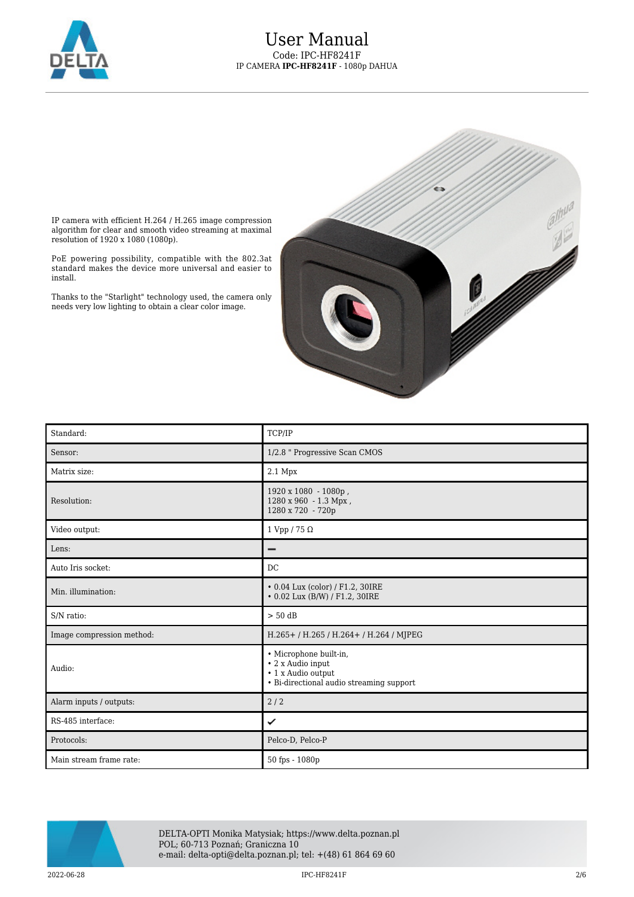

### User Manual Code: IPC-HF8241F IP CAMERA **IPC-HF8241F** - 1080p DAHUA



IP camera with efficient H.264 / H.265 image compression algorithm for clear and smooth video streaming at maximal resolution of 1920 x 1080 (1080p).

PoE powering possibility, compatible with the 802.3at standard makes the device more universal and easier to install.

Thanks to the "Starlight" technology used, the camera only needs very low lighting to obtain a clear color image.

| Standard:                 | TCP/IP                                                                                                        |
|---------------------------|---------------------------------------------------------------------------------------------------------------|
| Sensor:                   | 1/2.8 " Progressive Scan CMOS                                                                                 |
| Matrix size:              | $2.1\ \mathrm{Mpx}$                                                                                           |
| Resolution:               | 1920 x 1080 - 1080p,<br>1280 x 960 - 1.3 Mpx,<br>1280 x 720 - 720p                                            |
| Video output:             | 1 Vpp / 75 $\Omega$                                                                                           |
| Lens:                     | -                                                                                                             |
| Auto Iris socket:         | DC                                                                                                            |
| Min. illumination:        | • 0.04 Lux (color) / F1.2, 30IRE<br>• 0.02 Lux (B/W) / F1.2, 30IRE                                            |
| S/N ratio:                | $> 50$ dB                                                                                                     |
| Image compression method: | H.265+/H.265/H.264+/H.264/MJPEG                                                                               |
| Audio:                    | · Microphone built-in,<br>• 2 x Audio input<br>• 1 x Audio output<br>• Bi-directional audio streaming support |
| Alarm inputs / outputs:   | 2/2                                                                                                           |
| RS-485 interface:         | ✓                                                                                                             |
| Protocols:                | Pelco-D, Pelco-P                                                                                              |
| Main stream frame rate:   | 50 fps - 1080p                                                                                                |



DELTA-OPTI Monika Matysiak; https://www.delta.poznan.pl POL; 60-713 Poznań; Graniczna 10 e-mail: delta-opti@delta.poznan.pl; tel: +(48) 61 864 69 60

 $2022$ -06-28  $2/6$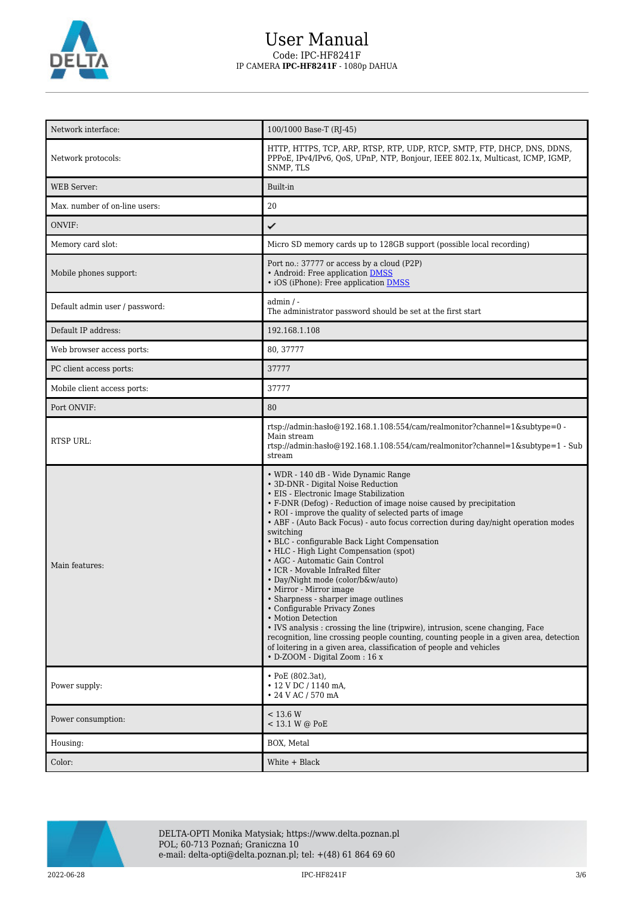

## User Manual Code: IPC-HF8241F IP CAMERA **IPC-HF8241F** - 1080p DAHUA

| Network interface:             | 100/1000 Base-T (RJ-45)                                                                                                                                                                                                                                                                                                                                                                                                                                                                                                                                                                                                                                                                                                                                                                                                                                                                                                                                                 |
|--------------------------------|-------------------------------------------------------------------------------------------------------------------------------------------------------------------------------------------------------------------------------------------------------------------------------------------------------------------------------------------------------------------------------------------------------------------------------------------------------------------------------------------------------------------------------------------------------------------------------------------------------------------------------------------------------------------------------------------------------------------------------------------------------------------------------------------------------------------------------------------------------------------------------------------------------------------------------------------------------------------------|
| Network protocols:             | HTTP, HTTPS, TCP, ARP, RTSP, RTP, UDP, RTCP, SMTP, FTP, DHCP, DNS, DDNS,<br>PPPoE, IPv4/IPv6, QoS, UPnP, NTP, Bonjour, IEEE 802.1x, Multicast, ICMP, IGMP,<br>SNMP, TLS                                                                                                                                                                                                                                                                                                                                                                                                                                                                                                                                                                                                                                                                                                                                                                                                 |
| <b>WEB</b> Server:             | Built-in                                                                                                                                                                                                                                                                                                                                                                                                                                                                                                                                                                                                                                                                                                                                                                                                                                                                                                                                                                |
| Max. number of on-line users:  | 20                                                                                                                                                                                                                                                                                                                                                                                                                                                                                                                                                                                                                                                                                                                                                                                                                                                                                                                                                                      |
| ONVIF:                         | ✓                                                                                                                                                                                                                                                                                                                                                                                                                                                                                                                                                                                                                                                                                                                                                                                                                                                                                                                                                                       |
| Memory card slot:              | Micro SD memory cards up to 128GB support (possible local recording)                                                                                                                                                                                                                                                                                                                                                                                                                                                                                                                                                                                                                                                                                                                                                                                                                                                                                                    |
| Mobile phones support:         | Port no.: 37777 or access by a cloud (P2P)<br>• Android: Free application DMSS<br>• iOS (iPhone): Free application DMSS                                                                                                                                                                                                                                                                                                                                                                                                                                                                                                                                                                                                                                                                                                                                                                                                                                                 |
| Default admin user / password: | admin / -<br>The administrator password should be set at the first start                                                                                                                                                                                                                                                                                                                                                                                                                                                                                                                                                                                                                                                                                                                                                                                                                                                                                                |
| Default IP address:            | 192.168.1.108                                                                                                                                                                                                                                                                                                                                                                                                                                                                                                                                                                                                                                                                                                                                                                                                                                                                                                                                                           |
| Web browser access ports:      | 80, 37777                                                                                                                                                                                                                                                                                                                                                                                                                                                                                                                                                                                                                                                                                                                                                                                                                                                                                                                                                               |
| PC client access ports:        | 37777                                                                                                                                                                                                                                                                                                                                                                                                                                                                                                                                                                                                                                                                                                                                                                                                                                                                                                                                                                   |
| Mobile client access ports:    | 37777                                                                                                                                                                                                                                                                                                                                                                                                                                                                                                                                                                                                                                                                                                                                                                                                                                                                                                                                                                   |
| Port ONVIF:                    | 80                                                                                                                                                                                                                                                                                                                                                                                                                                                                                                                                                                                                                                                                                                                                                                                                                                                                                                                                                                      |
| <b>RTSP URL:</b>               | rtsp://admin:hasło@192.168.1.108:554/cam/realmonitor?channel=1&subtype=0 -<br>Main stream<br>rtsp://admin.haslo $@192.168.1.108.554$ /cam/realmonitor?channel=1&subtype=1 - Sub<br>stream                                                                                                                                                                                                                                                                                                                                                                                                                                                                                                                                                                                                                                                                                                                                                                               |
| Main features:                 | • WDR - 140 dB - Wide Dynamic Range<br>• 3D-DNR - Digital Noise Reduction<br>• EIS - Electronic Image Stabilization<br>• F-DNR (Defog) - Reduction of image noise caused by precipitation<br>• ROI - improve the quality of selected parts of image<br>• ABF - (Auto Back Focus) - auto focus correction during day/night operation modes<br>switching<br>• BLC - configurable Back Light Compensation<br>• HLC - High Light Compensation (spot)<br>• AGC - Automatic Gain Control<br>• ICR - Movable InfraRed filter<br>· Day/Night mode (color/b&w/auto)<br>• Mirror - Mirror image<br>• Sharpness - sharper image outlines<br>• Configurable Privacy Zones<br>• Motion Detection<br>• IVS analysis : crossing the line (tripwire), intrusion, scene changing, Face<br>recognition, line crossing people counting, counting people in a given area, detection<br>of loitering in a given area, classification of people and vehicles<br>• D-ZOOM - Digital Zoom: 16 x |
| Power supply:                  | $\cdot$ PoE (802.3at),<br>• 12 V DC / 1140 mA.<br>• 24 V AC / 570 mA                                                                                                                                                                                                                                                                                                                                                                                                                                                                                                                                                                                                                                                                                                                                                                                                                                                                                                    |
| Power consumption:             | < 13.6 W<br>< 13.1 W @ PoE                                                                                                                                                                                                                                                                                                                                                                                                                                                                                                                                                                                                                                                                                                                                                                                                                                                                                                                                              |
| Housing:                       | BOX, Metal                                                                                                                                                                                                                                                                                                                                                                                                                                                                                                                                                                                                                                                                                                                                                                                                                                                                                                                                                              |
| Color:                         | White + Black                                                                                                                                                                                                                                                                                                                                                                                                                                                                                                                                                                                                                                                                                                                                                                                                                                                                                                                                                           |



DELTA-OPTI Monika Matysiak; https://www.delta.poznan.pl POL; 60-713 Poznań; Graniczna 10 e-mail: delta-opti@delta.poznan.pl; tel: +(48) 61 864 69 60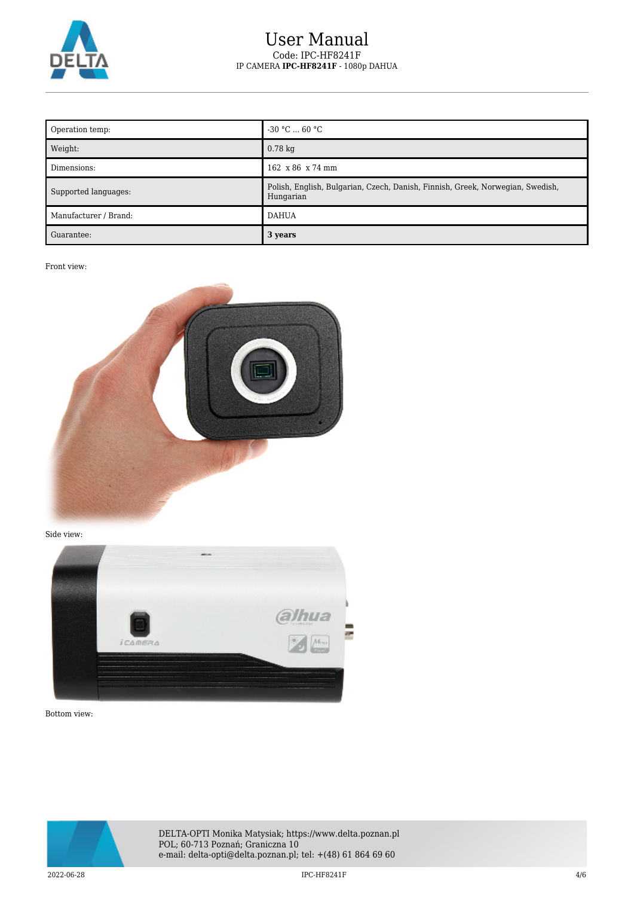

## User Manual Code: IPC-HF8241F IP CAMERA **IPC-HF8241F** - 1080p DAHUA

| Operation temp:       | $-30$ °C  60 °C                                                                             |
|-----------------------|---------------------------------------------------------------------------------------------|
| Weight:               | $0.78 \text{ kg}$                                                                           |
| Dimensions:           | $162 \times 86 \times 74 \text{ mm}$                                                        |
| Supported languages:  | Polish, English, Bulgarian, Czech, Danish, Finnish, Greek, Norwegian, Swedish,<br>Hungarian |
| Manufacturer / Brand: | <b>DAHUA</b>                                                                                |
| Guarantee:            | 3 years                                                                                     |

Front view:



Side view:



Bottom view:



DELTA-OPTI Monika Matysiak; https://www.delta.poznan.pl POL; 60-713 Poznań; Graniczna 10 e-mail: delta-opti@delta.poznan.pl; tel: +(48) 61 864 69 60

 $2022{\cdot}06{\cdot}28$   $4/6$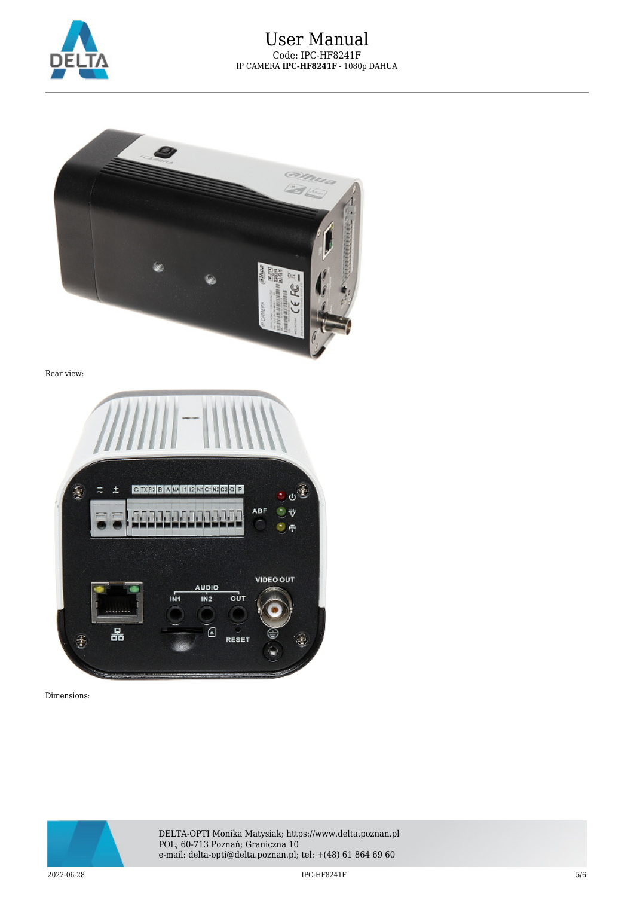



Rear view:



Dimensions:



DELTA-OPTI Monika Matysiak; https://www.delta.poznan.pl POL; 60-713 Poznań; Graniczna 10 e-mail: delta-opti@delta.poznan.pl; tel: +(48) 61 864 69 60

 $2022$ -06-28  $5/6$